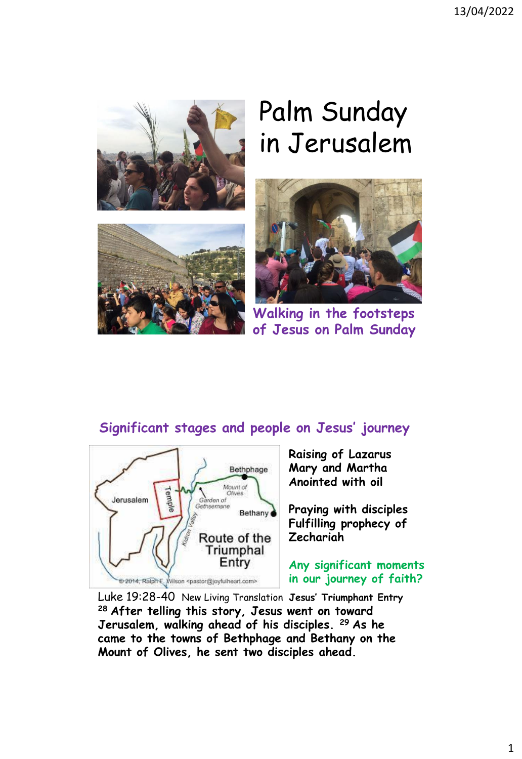

# Palm Sunday in Jerusalem





**Walking in the footsteps of Jesus on Palm Sunday**

### **Significant stages and people on Jesus' journey**



**Raising of Lazarus Mary and Martha Anointed with oil** 

**Praying with disciples Fulfilling prophecy of Zechariah**

**Any significant moments in our journey of faith?**

Luke 19:28-40 New Living Translation **Jesus' Triumphant Entry <sup>28</sup> After telling this story, Jesus went on toward Jerusalem, walking ahead of his disciples. <sup>29</sup> As he came to the towns of Bethphage and Bethany on the Mount of Olives, he sent two disciples ahead.**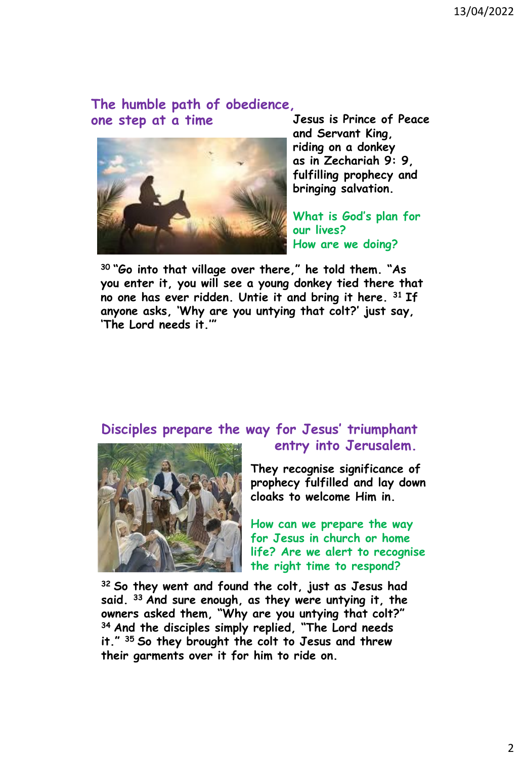## **The humble path of obedience,**



**one step at a time Jesus is Prince of Peace and Servant King, riding on a donkey as in Zechariah 9: 9, fulfilling prophecy and bringing salvation.**

> **What is God's plan for our lives? How are we doing?**

**<sup>30</sup> "Go into that village over there," he told them. "As you enter it, you will see a young donkey tied there that no one has ever ridden. Untie it and bring it here. <sup>31</sup> If anyone asks, 'Why are you untying that colt?' just say, 'The Lord needs it.'"**

### **Disciples prepare the way for Jesus' triumphant**



## **entry into Jerusalem.**

**They recognise significance of prophecy fulfilled and lay down cloaks to welcome Him in.**

**How can we prepare the way for Jesus in church or home life? Are we alert to recognise the right time to respond?**

**<sup>32</sup> So they went and found the colt, just as Jesus had said. <sup>33</sup> And sure enough, as they were untying it, the owners asked them, "Why are you untying that colt?" <sup>34</sup> And the disciples simply replied, "The Lord needs it." <sup>35</sup> So they brought the colt to Jesus and threw their garments over it for him to ride on.**